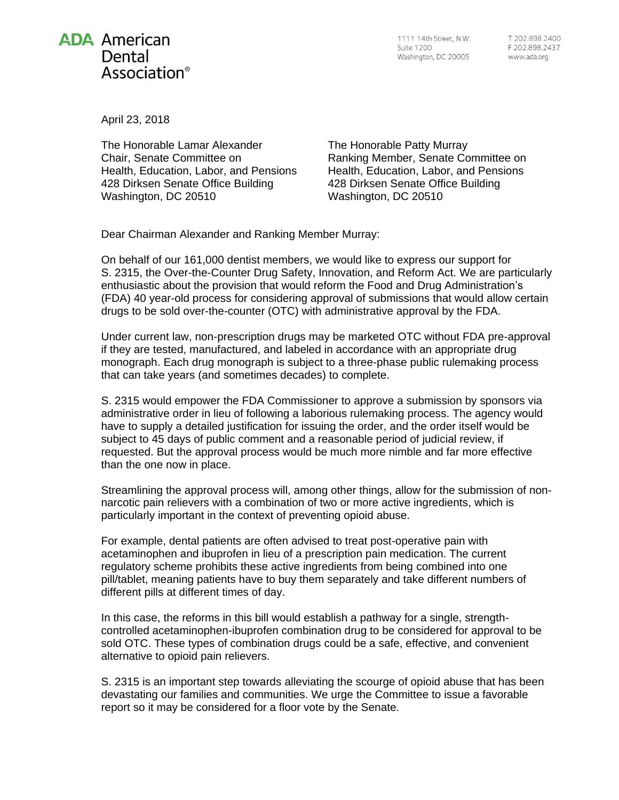

1111 14th Street, N.W. Suite 1200 Washington, DC 20005

T 202.898.2400 F 202.898.2437 www.ada.org

April 23, 2018

The Honorable Lamar Alexander Chair, Senate Committee on Health, Education, Labor, and Pensions 428 Dirksen Senate Office Building Washington, DC 20510

The Honorable Patty Murray Ranking Member, Senate Committee on Health, Education, Labor, and Pensions 428 Dirksen Senate Office Building Washington, DC 20510

Dear Chairman Alexander and Ranking Member Murray:

On behalf of our 161,000 dentist members, we would like to express our support for S. 2315, the Over-the-Counter Drug Safety, Innovation, and Reform Act. We are particularly enthusiastic about the provision that would reform the Food and Drug Administration's (FDA) 40 year-old process for considering approval of submissions that would allow certain drugs to be sold over-the-counter (OTC) with administrative approval by the FDA.

Under current law, non-prescription drugs may be marketed OTC without FDA pre-approval if they are tested, manufactured, and labeled in accordance with an appropriate drug monograph. Each drug monograph is subject to a three-phase public rulemaking process that can take years (and sometimes decades) to complete.

S. 2315 would empower the FDA Commissioner to approve a submission by sponsors via administrative order in lieu of following a laborious rulemaking process. The agency would have to supply a detailed justification for issuing the order, and the order itself would be subject to 45 days of public comment and a reasonable period of judicial review, if requested. But the approval process would be much more nimble and far more effective than the one now in place.

Streamlining the approval process will, among other things, allow for the submission of nonnarcotic pain relievers with a combination of two or more active ingredients, which is particularly important in the context of preventing opioid abuse.

For example, dental patients are often advised to treat post-operative pain with acetaminophen and ibuprofen in lieu of a prescription pain medication. The current regulatory scheme prohibits these active ingredients from being combined into one pill/tablet, meaning patients have to buy them separately and take different numbers of different pills at different times of day.

In this case, the reforms in this bill would establish a pathway for a single, strengthcontrolled acetaminophen-ibuprofen combination drug to be considered for approval to be sold OTC. These types of combination drugs could be a safe, effective, and convenient alternative to opioid pain relievers.

S. 2315 is an important step towards alleviating the scourge of opioid abuse that has been devastating our families and communities. We urge the Committee to issue a favorable report so it may be considered for a floor vote by the Senate.